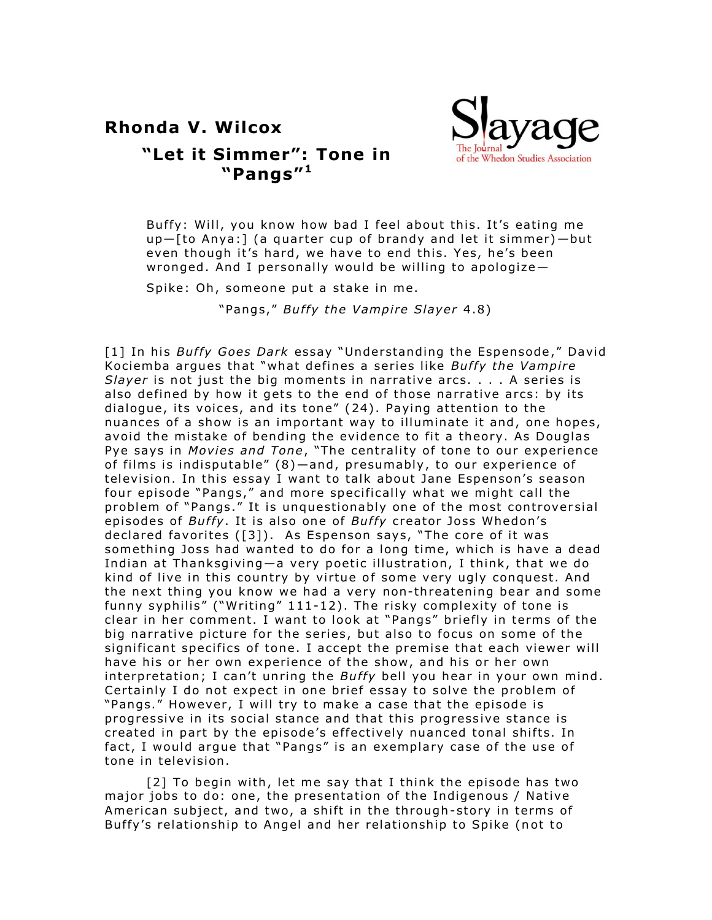## **Rhonda V. Wilcox "Let it Simmer": Tone in "Pangs"<sup>1</sup>**



Buffy: Will, you know how bad I feel about this. It's eating me  $up-[to Anya.]$  (a quarter cup of brandy and let it simmer) $-but$ even though it's hard, we have to end this. Yes, he's been wronged. And I personally would be willing to apologize $-$ 

Spike: Oh, someone put a stake in me.

"Pangs," *Buffy the Vampire Slayer* 4.8)

[1] In his *Buffy Goes Dark* essay "Understanding the Espensode," David Kociemba argues that "what defines a series like *Buffy the Vampire Slayer* is not just the big moments in narrative arcs. . . . A series is also defined by how it gets to the end of those narrative arcs: by its dialogue, its voices, and its tone"  $(24)$ . Paying attention to the nuances of a show is an important way to illuminate it and, one hopes, avoid the mistake of bending the evidence to fit a theory. As Douglas Pye says in *Movies and Tone*, "The centrality of tone to our experience of films is indisputable"  $(8)$  -and, presumably, to our experience of television. In this essay I want to talk about Jane Espenson's season four episode "Pangs," and more specifically what we might call the problem of "Pangs." It is unquestionably one of the most controversial episodes of *Buffy*. It is also one of *Buffy* creator Joss Whedon's declared favorites  $([3])$ . As Espenson says, "The core of it was something Joss had wanted to do for a long time, which is have a dead Indian at Thanksgiving—a very poetic illustration, I think, that we do kind of live in this country by virtue of some very ugly conquest. And the next thing you know we had a very non-threatening bear and some funny syphilis" ("Writing" 111-12). The risky complexity of tone is clear in her comment. I want to look at "Pangs" briefly in terms of the big narrative picture for the series, but also to focus on some of the significant specifics of tone. I accept the premise that each viewer will have his or her own experience of the show, and his or her own interpretation; I can't unring the *Buffy* bell you hear in your own mind. Certainly I do not expect in one brief essay to solve the problem of "Pangs." However, I will try to make a case that the episode is progressive in its social stance and that this progressive stance is created in part by the episode's effectively nuanced tonal shifts. In fact, I would argue that "Pangs" is an exemplary case of the use of tone in television.

 $[2]$  To begin with, let me say that I think the episode has two major jobs to do: one, the presentation of the Indigenous / Native American subject, and two, a shift in the through-story in terms of Buffy's relationship to Angel and her relationship to Spike (not to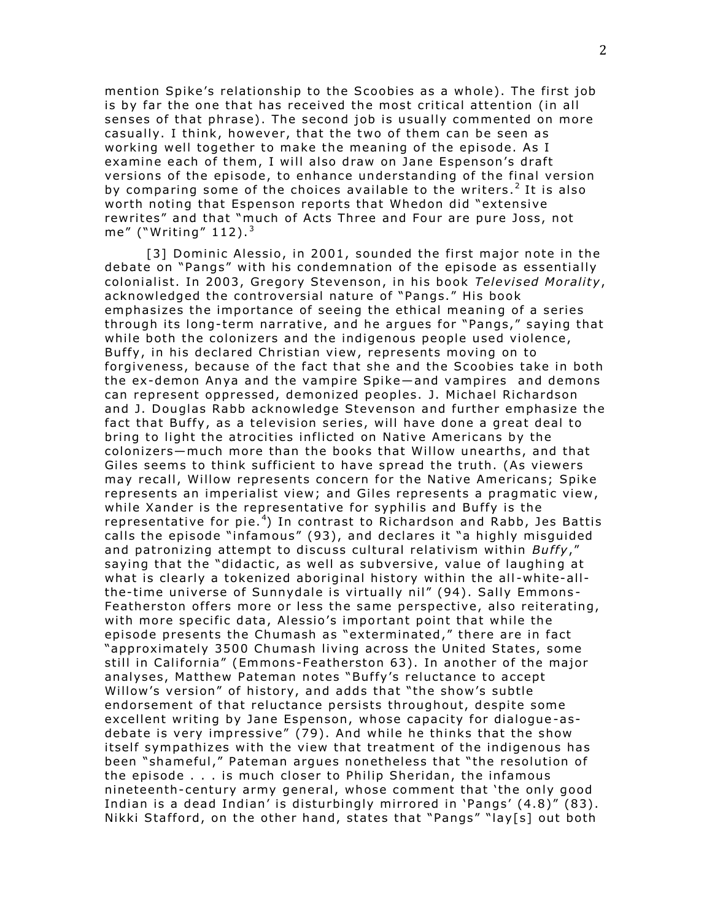mention Spike's relationship to the Scoobies as a whole). The first job is by far the one that has received the most critical attention (in all senses of that phrase). The second job is usually commented on more casually. I think, however, that the two of them can be seen as working well together to make the meaning of the episode. As I examine each of them, I will also draw on Jane Espenson's draft versions of the episode, to enhance understanding of the final version by comparing some of the choices available to the writers.<sup>2</sup> It is also worth noting that Espenson reports that Whedon did "extensive rewrites" and that "much of Acts Three and Four are pure Joss, not me" ("Writing"  $112$ ).<sup>3</sup>

[3] Dominic Alessio, in 2001, sounded the first major note in the debate on "Pangs" with his condemnation of the episode as essentially colonialist. In 2003, Gregory Stevenson, in his book *Televised Morality*, acknowledged the controversial nature of "Pangs." His book emphasizes the importance of seeing the ethical meaning of a series through its long-term narrative, and he argues for "Pangs," saying that while both the colonizers and the indigenous people used violence, Buffy, in his declared Christian view, represents moving on to forgiveness, because of the fact that she and the Scoobies take in both the ex-demon Anya and the vampire Spike—and vampires and demons can represent oppressed, demonized peoples. J. Michael Richardson and J. Douglas Rabb acknowledge Stevenson and further emphasize the fact that Buffy, as a television series, will have done a great deal to bring to light the atrocities inflicted on Native Americans by the colonizers—much more than the books that Willow unearths, and that Giles seems to think sufficient to have spread the truth. (As viewers may recall, Willow represents concern for the Native Americans; Spike represents an imperialist view; and Giles represents a pragmatic view, while Xander is the representative for syphilis and Buffy is the representative for pie.<sup>4</sup>) In contrast to Richardson and Rabb, Jes Battis calls the episode "infamous" (93), and declares it "a highly misguided and patronizing attempt to discuss cultural relativism within *Buffy*," saying that the "didactic, as well as subversive, value of laughing at what is clearly a tokenized aboriginal history within the all-white-allthe-time universe of Sunnydale is virtually nil" (94). Sally Emmons-Featherston offers more or less the same perspective, also reiterating, with more specific data, Alessio's important point that while the episode presents the Chumash as "exterminated," there are in fact "approximately 3500 Chumash living across the United States, some still in California" (Emmons-Featherston 63). In another of the major analyses, Matthew Pateman notes "Buffy's reluctance to accept Willow's version" of history, and adds that "the show's subtle endorsement of that reluctance persists throughout, despite some excellent writing by Jane Espenson, whose capacity for dialogue-asdebate is very impressive" (79). And while he thinks that the show itself sympathizes with the view that treatment of the indigenous has been "shameful," Pateman argues nonetheless that "the resolution of the episode . . . is much closer to Philip Sheridan, the infamous nineteenth-century army general, whose comment that 'the only good Indian is a dead Indian' is disturbingly mirrored in 'Pangs' (4.8)" (83). Nikki Stafford, on the other hand, states that "Pangs" "lay[s] out both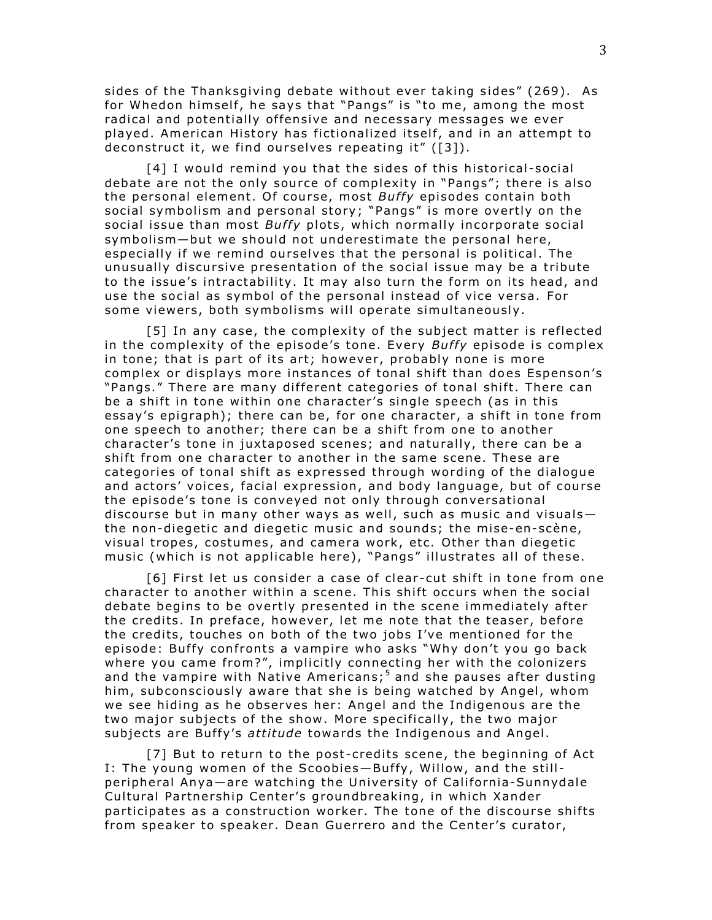sides of the Thank sqiving debate without ever taking sides" (269). As for Whedon himself, he says that "Pangs" is "to me, among the most radical and potentially offensive and necessary messages we ever played. American History has fictionalized itself, and in an attempt to deconstruct it, we find ourselves repeating it"  $(3]$ ).

[4] I would remind you that the sides of this historical-social debate are not the only source of complexity in "Pangs"; there is also the personal element. Of course, most *Buffy* episodes contain both social symbolism and personal story; "Pangs" is more overtly on the social issue than most *Buffy* plots, which normally incorporate social symbolism—but we should not underestimate the personal here, especially if we remind ourselves that the personal is political. The unusually discursive presentation of the social issue may be a tribute to the issue's intractability. It may also turn the form on its head, and use the social as symbol of the personal instead of vice versa. For some viewers, both symbolisms will operate simultaneously.

[5] In any case, the complexity of the subject matter is reflected in the complexity of the episode's tone. Every *Buffy* episode is complex in tone; that is part of its art; however, probably none is more complex or displays more instances of tonal shift than does Espenson's "Pangs." There are many different categories of tonal shift. There can be a shift in tone within one character's single speech (as in this essay's epigraph); there can be, for one character, a shift in tone from one speech to another; there can be a shift from one to another character's tone in juxtaposed scenes; and naturally, there can be a shift from one character to another in the same scene. These are categories of tonal shift as expressed through wording of the dialogue and actors' voices, facial expression, and body language, but of course the episode's tone is conveyed not only through conversational discourse but in many other ways as well, such as music and visuals $$ the non-diegetic and diegetic music and sounds; the mise-en-scène, visual tropes, costumes, and camera work, etc. Other than diegetic music (which is not applicable here), "Pangs" illustrates all of these.

[6] First let us consider a case of clear-cut shift in tone from one character to another within a scene. This shift occurs when the social debate begins to be overtly presented in the scene immediately after the credits. In preface, however, let me note that the teaser, before the credits, touches on both of the two jobs I've mentioned for the episode: Buffy confronts a vampire who asks "Why don't you go back where you came from?", implicitly connecting her with the colonizers and the vampire with Native Americans;<sup>5</sup> and she pauses after dusting him, subconsciously aware that she is being watched by Angel, whom we see hiding as he observes her: Angel and the Indigenous are the two major subjects of the show. More specifically, the two major subjects are Buffy's *attitude* towards the Indigenous and Angel.

[7] But to return to the post-credits scene, the beginning of Act I: The young women of the Scoobies-Buffy, Willow, and the stillperipheral Anya—are watching the University of California-Sunnydale Cultural Partnership Center's groundbreaking, in which Xander participates as a construction worker. The tone of the discourse shifts from speaker to speaker. Dean Guerrero and the Center's curator,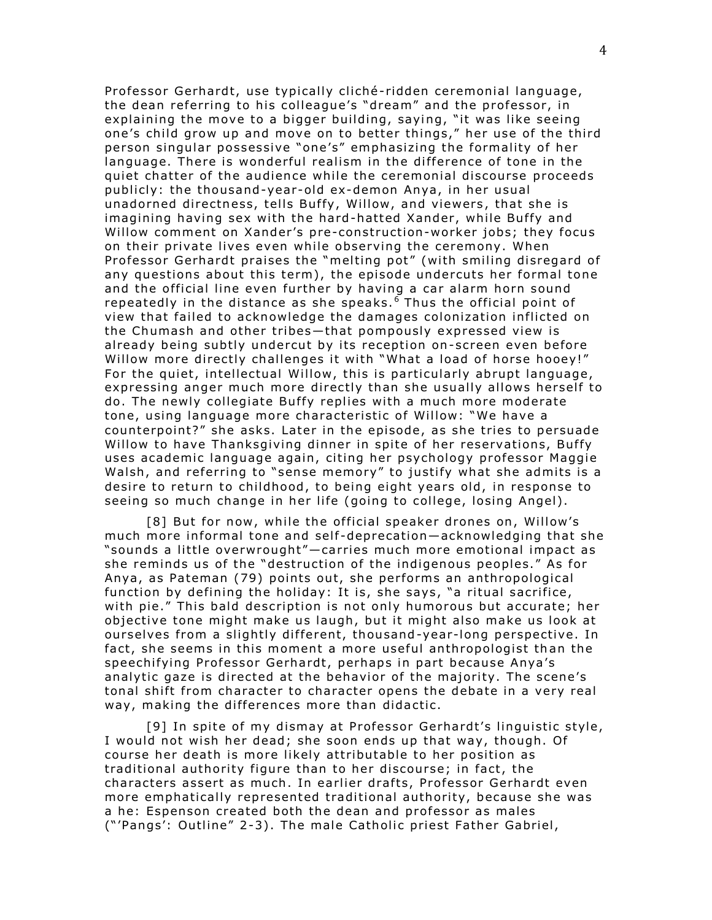Professor Gerhardt, use typically cliché-ridden ceremonial language, the dean referring to his colleague's "dream" and the professor, in explaining the move to a bigger building, saying, "it was like seeing one's child grow up and move on to better things," her use of the third person singular possessive "one's" emphasizing the formality of her language. There is wonderful realism in the difference of tone in the quiet chatter of the audience while the ceremonial discourse proceeds publicly: the thousand-year-old ex-demon Anya, in her usual unadorned directness, tells Buffy, Willow, and viewers, that she is imagining having sex with the hard-hatted Xander, while Buffy and Willow comment on Xander's pre-construction-worker jobs; they focus on their private lives even while observing the ceremony. When Professor Gerhardt praises the "melting pot" (with smiling disregard of any questions about this term), the episode undercuts her formal tone and the official line even further by having a car alarm horn sound repeatedly in the distance as she speaks.  $6$  Thus the official point of view that failed to acknowledge the damages colonization inflicted on the Chumash and other tribes—that pompously expressed view is already being subtly undercut by its reception on-screen even before Willow more directly challenges it with "What a load of horse hooey!" For the quiet, intellectual Willow, this is particularly abrupt language, expressing anger much more directly than she usually allows herself to do. The newly collegiate Buffy replies with a much more moderate tone, using language more characteristic of Willow: "We have a counterpoint?" she asks. Later in the episode, as she tries to persuade Willow to have Thanksgiving dinner in spite of her reservations, Buffy uses academic language again, citing her psychology professor Maggie Walsh, and referring to "sense memory" to justify what she admits is a desire to return to childhood, to being eight years old, in response to seeing so much change in her life (going to college, losing Angel).

[8] But for now, while the official speaker drones on, Willow's much more informal tone and self-deprecation—acknowledging that she "sounds a little overwrought"—carries much more emotional impact as she reminds us of the "destruction of the indigenous peoples." As for Anya, as Pateman (79) points out, she performs an anthropological function by defining the holiday: It is, she says, "a ritual sacrifice, with pie." This bald description is not only humorous but accurate; her objective tone might make us laugh, but it might also make us look at ourselves from a slightly different, thousand-year-long perspective. In fact, she seems in this moment a more useful anthropologist than the speechifying Professor Gerhardt, perhaps in part because Anya's analytic gaze is directed at the behavior of the majority. The scene's tonal shift from character to character opens the debate in a very real way, making the differences more than didactic.

[9] In spite of my dismay at Professor Gerhardt's linguistic style, I would not wish her dead; she soon ends up that way, though. Of course her death is more likely attributable to her position as traditional authority figure than to her discourse; in fact, the characters assert as much. In earlier drafts, Professor Gerhardt even more emphatically represented traditional authority, because she was a he: Espenson created both the dean and professor as males ("'Pangs': Outline" 2-3). The male Catholic priest Father Gabriel,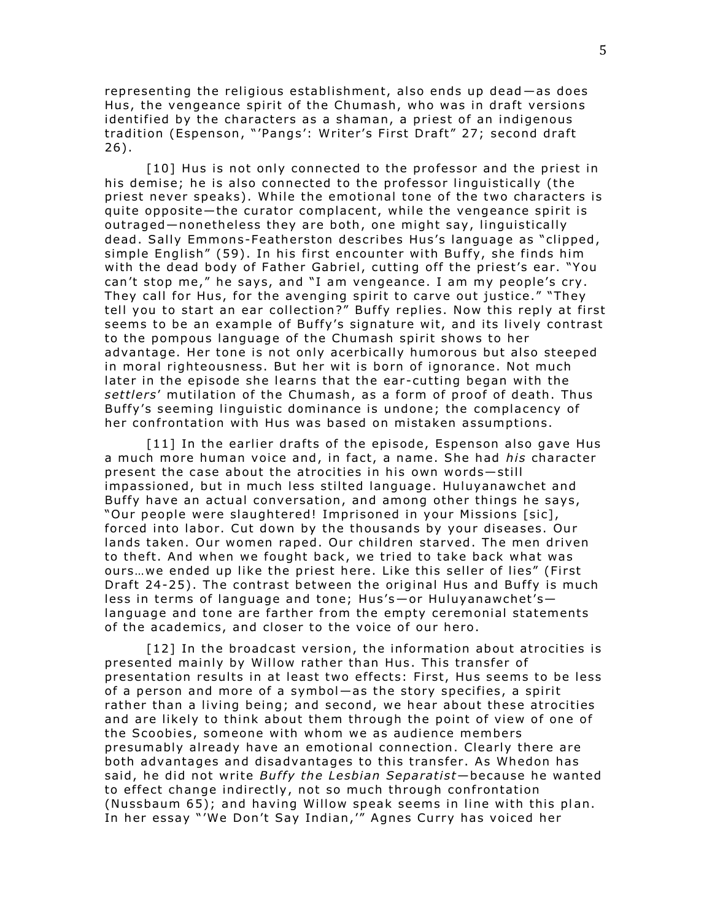representing the religious establishment, also ends up dead—as does Hus, the vengeance spirit of the Chumash, who was in draft versions identified by the characters as a shaman, a priest of an indigenous tradition (Espenson, "'Pangs': Writer's First Draft" 27; second draft 26) .

[10] Hus is not only connected to the professor and the priest in his demise; he is also connected to the professor linguistically (the priest never speaks). While the emotional tone of the two characters is quite opposite—the curator complacent, while the vengeance spirit is outraged—nonetheless they are both, one might say, linguistically dead. Sally Emmons-Featherston describes Hus's language as "clipped, simple English" (59). In his first encounter with Buffy, she finds him with the dead body of Father Gabriel, cutting off the priest's ear. "You can't stop me," he says, and "I am vengeance. I am my people's cry. They call for Hus, for the avenging spirit to carve out justice." "They tell you to start an ear collection?" Buffy replies. Now this reply at first seems to be an example of Buffy's signature wit, and its lively contrast to the pompous language of the Chumash spirit shows to her advantage. Her tone is not only acerbically humorous but also steeped in moral righteousness. But her wit is born of ignorance. Not much later in the episode she learns that the ear-cutting began with the settlers' mutilation of the Chumash, as a form of proof of death. Thus Buffy's seeming linguistic dominance is undone; the complacency of her confrontation with Hus was based on mistaken assumptions.

 $[11]$  In the earlier drafts of the episode, Espenson also gave Hus a much more human voice and, in fact, a name. She had *his* character present the case about the atrocities in his own words-still impassioned, but in much less stilted language. Huluyanawchet and Buffy have an actual conversation, and among other things he says, "Our people were slaughtered! Imprisoned in your Missions [sic], forced into labor. Cut down by the thousands by your diseases. Our lands taken. Our women raped. Our children starved. The men driven to theft. And when we fought back, we tried to take back what was ours…we ended up like the priest here. Like this seller of lies" (First Draft 24-25). The contrast between the original Hus and Buffy is much less in terms of language and tone; Hus's—or Huluyanawchet's language and tone are farther from the empty ceremonial statements of the academics, and closer to the voice of our hero.

 $[12]$  In the broadcast version, the information about atrocities is presented mainly by Willow rather than Hus. This transfer of presentation results in at least two effects: First, Hus seems to be less of a person and more of a symbol—as the story specifies, a spirit rather than a living being; and second, we hear about these atrocities and are likely to think about them through the point of view of one of the Scoobies, someone with whom we as audience members presumably already have an emotional connection. Clearly there are both advantages and disadvantages to this transfer. As Whedon has said, he did not write *Buffy the Lesbian Separatist*—because he wanted to effect change indirectly, not so much through confrontation (Nussbaum 65); and having Willow speak seems in line with this plan. In her essay "'We Don't Say Indian,'" Agnes Curry has voiced her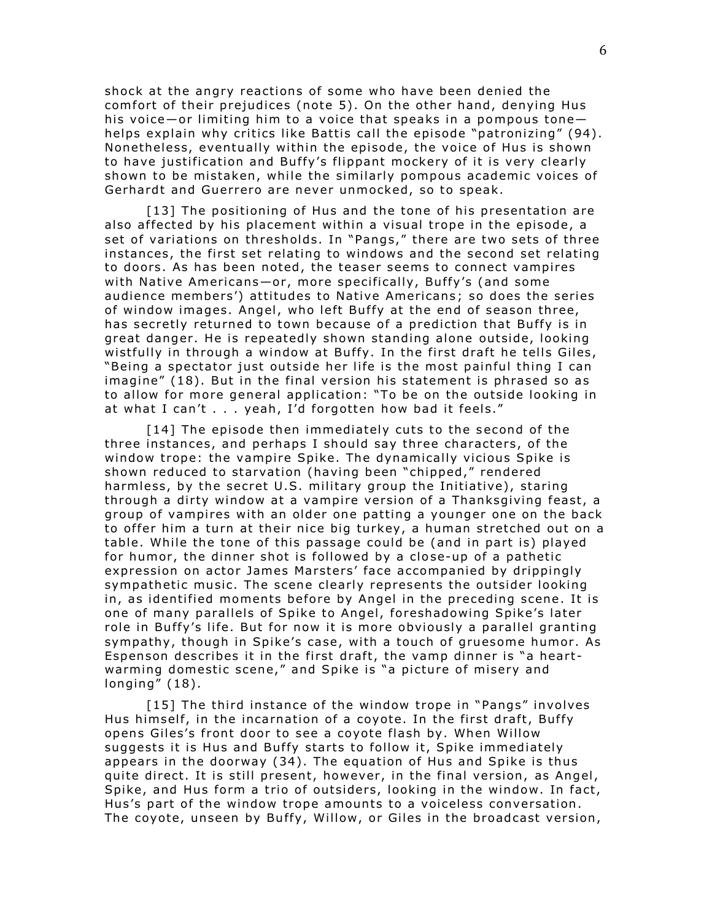shock at the angry reactions of some who have been denied the comfort of their prejudices (note 5). On the other hand, denying Hus his voice—or limiting him to a voice that speaks in a pompous tone helps explain why critics like Battis call the episode "patronizing" (94). Nonetheless, eventually within the episode, the voice of Hus is shown to have justification and Buffy's flippant mockery of it is very clearly shown to be mistaken, while the similarly pompous academic voices of Gerhardt and Guerrero are never unmocked, so to speak.

 $[13]$  The positioning of Hus and the tone of his presentation are also affected by his placement within a visual trope in the episode, a set of variations on thresholds. In "Pangs," there are two sets of three instances, the first set relating to windows and the second set relating to doors. As has been noted, the teaser seems to connect vampires with Native Americans—or, more specifically, Buffy's (and some audience members') attitudes to Native Americans; so does the series of window images. Angel, who left Buffy at the end of season three, has secretly returned to town because of a prediction that Buffy is in great danger. He is repeatedly shown standing alone outside, looking wistfully in through a window at Buffy. In the first draft he tells Giles, "Being a spectator just outside her life is the most painful thing I can imagine" (18). But in the final version his statement is phrased so as to allow for more general application: "To be on the outside looking in at what I can't  $\dots$  yeah, I'd forgotten how bad it feels."

[14] The episode then immediately cuts to the second of the three instances, and perhaps I should say three characters, of the window trope: the vampire Spike. The dynamically vicious Spike is shown reduced to starvation (having been "chipped," rendered harmless, by the secret U.S. military group the Initiative), staring through a dirty window at a vampire version of a Thanksgiving feast, a group of vampires with an older one patting a younger one on the back to offer him a turn at their nice big turkey, a human stretched out on a table. While the tone of this passage could be (and in part is) played for humor, the dinner shot is followed by a close-up of a pathetic expression on actor James Marsters' face accompanied by drippingly sympathetic music. The scene clearly represents the outsider looking in, as identified moments before by Angel in the preceding scene. It is one of many parallels of Spike to Angel, foreshadowing Spike's later role in Buffy's life. But for now it is more obviously a parallel granting sympathy, though in Spike's case, with a touch of gruesome humor. As Espenson describes it in the first draft, the vamp dinner is "a heartwarming domestic scene," and Spike is "a picture of misery and longing" (18).

[15] The third instance of the window trope in "Pangs" involves Hus himself, in the incarnation of a coyote. In the first draft, Buffy opens Giles's front door to see a coyote flash by. When Willow suggests it is Hus and Buffy starts to follow it, Spike immediately appears in the doorway (34). The equation of Hus and Spike is thus quite direct. It is still present, however, in the final version, as Angel, Spike, and Hus form a trio of outsiders, looking in the window. In fact, Hus's part of the window trope amounts to a voiceless conversation. The coyote, unseen by Buffy, Willow, or Giles in the broadcast version,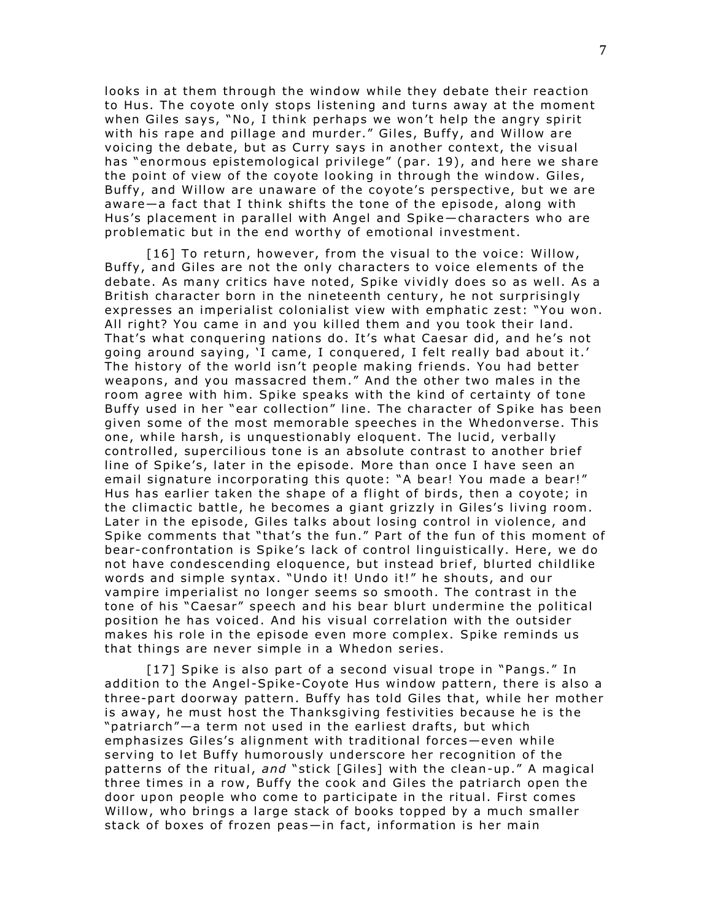looks in at them through the window while they debate their reaction to Hus. The coyote only stops listening and turns away at the moment when Giles says, "No, I think perhaps we won't help the angry spirit with his rape and pillage and murder." Giles, Buffy, and Willow are voicing the debate, but as Curry says in another context, the visual has "enormous epistemological privilege" (par. 19), and here we share the point of view of the coyote looking in through the window. Giles, Buffy, and Willow are unaware of the coyote's perspective, but we are aware—a fact that I think shifts the tone of the episode, along with Hus's placement in parallel with Angel and Spike—characters who are problematic but in the end worthy of emotional investment.

 $[16]$  To return, however, from the visual to the voice: Willow, Buffy, and Giles are not the only characters to voice elements of the debate. As many critics have noted, Spike vividly does so as well. As a British character born in the nineteenth century, he not surprisingly expresses an imperialist colonialist view with emphatic zest: "You won. All right? You came in and you killed them and you took their land. That's what conquering nations do. It's what Caesar did, and he's not going around saying, 'I came, I conquered, I felt really bad about it.' The history of the world isn't people making friends. You had better weapons, and you massacred them." And the other two males in the room agree with him. Spike speaks with the kind of certainty of tone Buffy used in her "ear collection" line. The character of Spike has been given some of the most memorable speeches in the Whedonverse. This one, while harsh, is unquestionably eloquent. The lucid, verbally controlled, supercilious tone is an absolute contrast to another brief line of Spike's, later in the episode. More than once I have seen an email signature incorporating this quote: "A bear! You made a bear!" Hus has earlier taken the shape of a flight of birds, then a coyote; in the climactic battle, he becomes a giant grizzly in Giles's living room. Later in the episode, Giles talks about losing control in violence, and Spike comments that "that's the fun." Part of the fun of this moment of bear-confrontation is Spike's lack of control linguistically. Here, we do not have condescending eloquence, but instead brief, blurted childlike words and simple syntax. "Undo it! Undo it!" he shouts, and our vampire imperialist no longer seems so smooth. The contrast in the tone of his "Caesar" speech and his bear blurt undermine the political position he has voiced. And his visual correlation with the outsider makes his role in the episode even more complex. Spike reminds us that things are never simple in a Whedon series.

[17] Spike is also part of a second visual trope in "Pangs." In addition to the Angel-Spike-Coyote Hus window pattern, there is also a three-part doorway pattern. Buffy has told Giles that, while her mother is away, he must host the Thanksgiving festivities because he is the "patriarch"—a term not used in the earliest drafts, but which emphasizes Giles's alignment with traditional forces—even while serving to let Buffy humorously underscore her recognition of the patterns of the ritual, and "stick [Giles] with the clean-up." A magical three times in a row, Buffy the cook and Giles the patriarch open the door upon people who come to participate in the ritual. First comes Willow, who brings a large stack of books topped by a much smaller stack of boxes of frozen peas—in fact, information is her main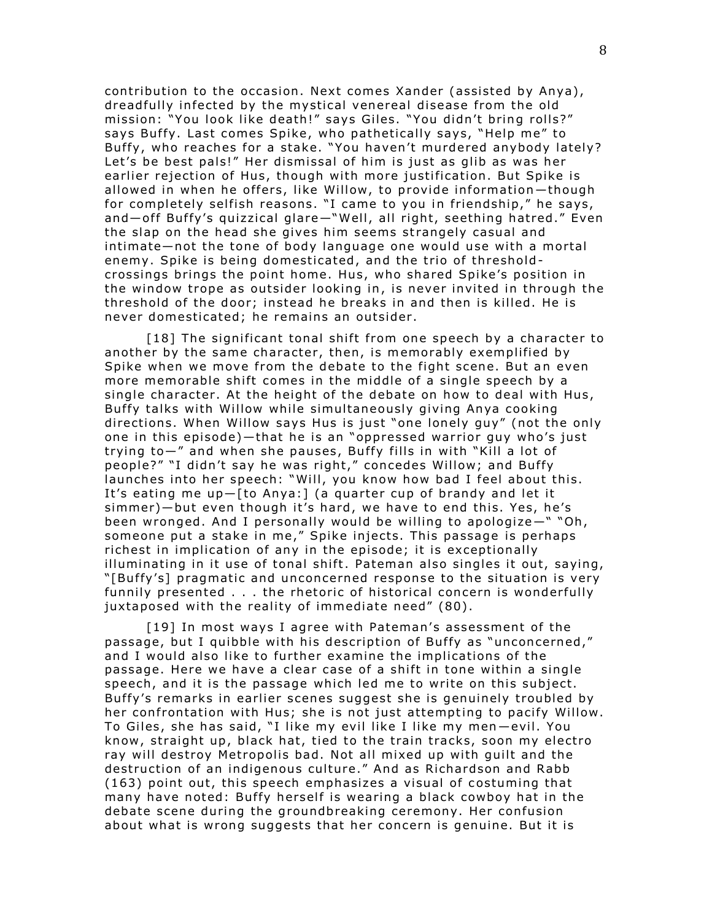contribution to the occasion. Next comes Xander (assisted by Anya), dreadfully infected by the mystical venereal disease from the old mission: "You look like death!" says Giles. "You didn't bring rolls?" says Buffy. Last comes Spike, who pathetically says, "Help me" to Buffy, who reaches for a stake. "You haven't murdered anybody lately? Let's be best pals!" Her dismissal of him is just as glib as was her earlier rejection of Hus, though with more justification. But Spike is allowed in when he offers, like Willow, to provide information-though for completely selfish reasons. "I came to you in friendship," he says, and—off Buffy's quizzical glare—"Well, all right, seething hatred." Even the slap on the head she gives him seems strangely casual and intimate—not the tone of body language one would use with a mortal enemy. Spike is being domesticated, and the trio of thresholdcrossings brings the point home. Hus, who shared Spike's position in the window trope as outsider looking in, is never invited in through the threshold of the door; instead he breaks in and then is killed. He is never domesticated; he remains an outsider.

 $[18]$  The significant tonal shift from one speech by a character to another by the same character, then, is memorably exemplified by Spike when we move from the debate to the fight scene. But an even more memorable shift comes in the middle of a single speech by a single character. At the height of the debate on how to deal with Hus, Buffy talks with Willow while simultaneously giving Anya cooking directions. When Willow says Hus is just "one lonely guy" (not the only one in this episode)—that he is an "oppressed warrior guy who's just trying to—" and when she pauses, Buffy fills in with "Kill a lot of people?" "I didn't say he was right," concedes Willow; and Buffy launches into her speech: "Will, you know how bad I feel about this. It's eating me  $up$  - [to Anya:] (a quarter cup of brandy and let it simmer)—but even though it's hard, we have to end this. Yes, he's been wronged. And I personally would be willing to apologize— $"$  "Oh, someone put a stake in me," Spike injects. This passage is perhaps richest in implication of any in the episode; it is exceptionally illuminating in it use of tonal shift. Pateman also singles it out, saying, "[Buffy's] pragmatic and unconcerned response to the situation is very funnily presented . . . the rhetoric of historical concern is wonderfully juxtaposed with the reality of immediate need" (80).

[19] In most ways I agree with Pateman's assessment of the passage, but I quibble with his description of Buffy as "unconcerned," and I would also like to further examine the implications of the passage. Here we have a clear case of a shift in tone within a single speech, and it is the passage which led me to write on this subject. Buffy's remarks in earlier scenes suggest she is genuinely troubled by her confrontation with Hus; she is not just attempting to pacify Willow. To Giles, she has said, "I like my evil like I like my men—evil. You know, straight up, black hat, tied to the train tracks, soon my electro ray will destroy Metropolis bad. Not all mixed up with quilt and the destruction of an indigenous culture." And as Richardson and Rabb  $(163)$  point out, this speech emphasizes a visual of costuming that many have noted: Buffy herself is wearing a black cowboy hat in the debate scene during the groundbreaking ceremony. Her confusion about what is wrong suggests that her concern is genuine. But it is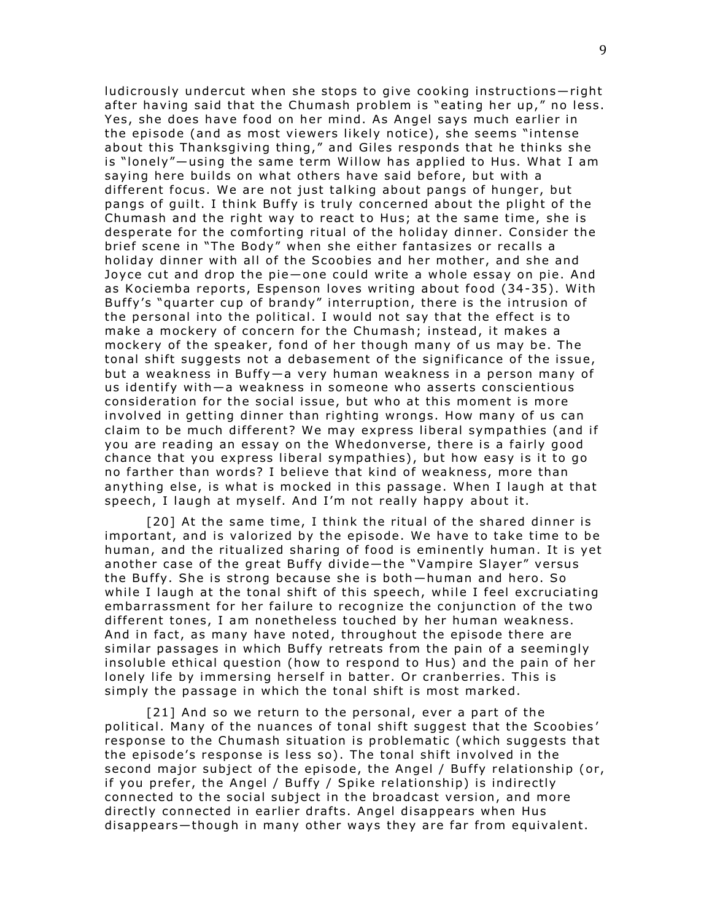ludicrously undercut when she stops to give cooking instructions—right after having said that the Chumash problem is "eating her up," no less. Yes, she does have food on her mind. As Angel says much earlier in the episode (and as most viewers likely notice), she seems "intense about this Thank sgiving thing," and Giles responds that he thinks she is "lonely"—using the same term Willow has applied to Hus. What I am saying here builds on what others have said before, but with a different focus. We are not just talking about pangs of hunger, but pangs of guilt. I think Buffy is truly concerned about the plight of the Chumash and the right way to react to Hus; at the same time, she is desperate for the comforting ritual of the holiday dinner. Consider the brief scene in "The Body" when she either fantasizes or recalls a holiday dinner with all of the Scoobies and her mother, and she and Joyce cut and drop the pie—one could write a whole essay on pie. And as Kociemba reports, Espenson loves writing about food (34-35). With Buffy's "quarter cup of brandy" interruption, there is the intrusion of the personal into the political. I would not say that the effect is to make a mockery of concern for the Chumash; instead, it makes a mockery of the speaker, fond of her though many of us may be. The tonal shift suggests not a debasement of the significance of the issue, but a weakness in Buffy—a very human weakness in a person many of us identify with—a weakness in someone who asserts conscientious consideration for the social issue, but who at this moment is more involved in getting dinner than righting wrongs. How many of us can claim to be much different? We may express liberal sympathies (and if you are reading an essay on the Whedonverse, there is a fairly good chance that you express liberal sympathies), but how easy is it to go no farther than words? I believe that kind of weakness, more than anything else, is what is mocked in this passage. When I laugh at that speech, I laugh at myself. And I'm not really happy about it.

[20] At the same time, I think the ritual of the shared dinner is important, and is valorized by the episode. We have to take time to be human, and the ritualized sharing of food is eminently human. It is yet another case of the great Buffy divide—the "Vampire Slayer" versus the Buffy. She is strong because she is both—human and hero. So while I laugh at the tonal shift of this speech, while I feel excruciating embarras sment for her failure to recognize the conjunction of the two different tones, I am nonetheless touched by her human weakness. And in fact, as many have noted, throughout the episode there are similar passages in which Buffy retreats from the pain of a seemingly insoluble ethical question (how to respond to Hus) and the pain of her lonely life by immersing herself in batter. Or cranberries. This is simply the passage in which the tonal shift is most marked.

[21] And so we return to the personal, ever a part of the political. Many of the nuances of tonal shift suggest that the Scoobies' response to the Chumash situation is problematic (which suggests that the episode's response is less so). The tonal shift involved in the second major subject of the episode, the Angel / Buffy relationship (or, if you prefer, the Angel / Buffy / Spike relationship) is indirectly connected to the social subject in the broadcast version, and more directly connected in earlier drafts. Angel disappears when Hus disappears—though in many other ways they are far from equivalent.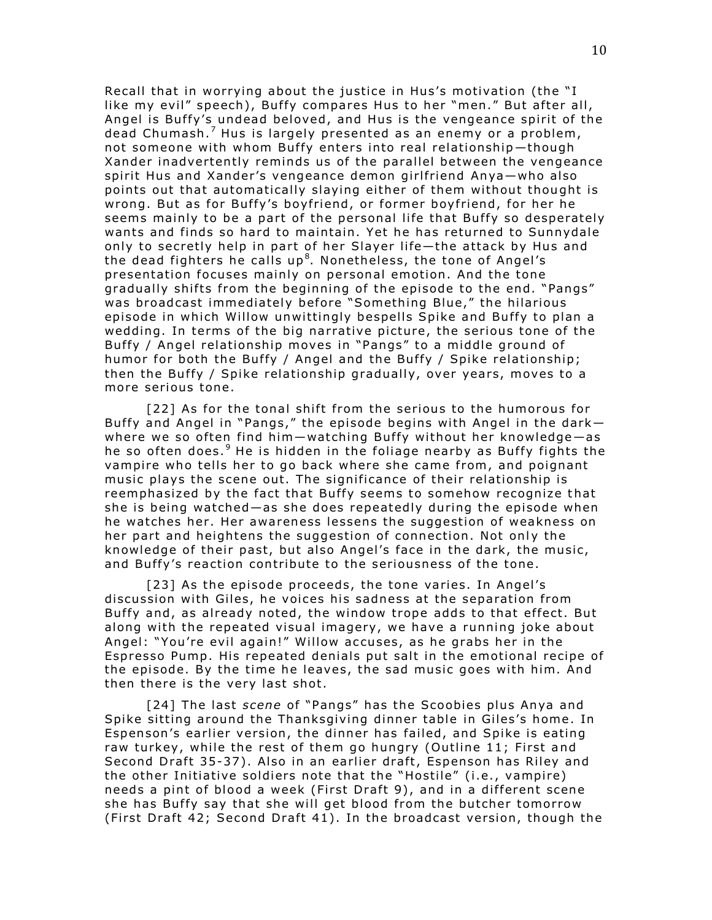Recall that in worrying about the justice in Hus's motivation (the "I like my evil" speech), Buffy compares Hus to her "men." But after all, Angel is Buffy's undead beloved, and Hus is the vengeance spirit of the dead Chumash.<sup>7</sup> Hus is largely presented as an enemy or a problem, not someone with whom Buffy enters into real relationship-though Xander inadvertently reminds us of the parallel between the vengeance spirit Hus and Xander's vengeance demon girlfriend Anya—who also points out that automatically slaying either of them without thought is wrong. But as for Buffy's boyfriend, or former boyfriend, for her he seems mainly to be a part of the personal life that Buffy so desperately wants and finds so hard to maintain. Yet he has returned to Sunnydale only to secretly help in part of her Slayer life—the attack by Hus and the dead fighters he calls up $^8\!$ . Nonetheless, the tone of Angel's presentation focuses mainly on personal emotion. And the tone gradually shifts from the beginning of the episode to the end. "Pangs" was broadcast immediately before "Something Blue," the hilarious episode in which Willow unwittingly bespells Spike and Buffy to plan a wedding. In terms of the big narrative picture, the serious tone of the Buffy / Angel relationship moves in "Pangs" to a middle ground of humor for both the Buffy / Angel and the Buffy / Spike relationship; then the Buffy / Spike relationship gradually, over years, moves to a more serious tone.

[22] As for the tonal shift from the serious to the humorous for Buffy and Angel in "Pangs," the episode begins with Angel in the darkwhere we so often find him—watching Buffy without her knowledge—as he so often does.<sup>9</sup> He is hidden in the foliage nearby as Buffy fights the vampire who tells her to go back where she came from, and poignant music plays the scene out. The significance of their relationship is reemphasized by the fact that Buffy seems to somehow recognize that she is being watched—as she does repeatedly during the episode when he watches her. Her awareness lessens the suggestion of weakness on her part and heightens the suggestion of connection. Not only the knowledge of their past, but also Angel's face in the dark, the music, and Buffy's reaction contribute to the seriousness of the tone.

[23] As the episode proceeds, the tone varies. In Angel's discussion with Giles, he voices his sadness at the separation from Buffy and, as already noted, the window trope adds to that effect. But along with the repeated visual imagery, we have a running joke about Angel: "You're evil again!" Willow accuses, as he grabs her in the Espresso Pump. His repeated denials put salt in the emotional recipe of the episode. By the time he leaves, the sad music goes with him. And then there is the very last shot.

[24] The last *scene* of "Pangs" has the Scoobies plus Anya and Spike sitting around the Thanksgiving dinner table in Giles's home. In Espenson's earlier version, the dinner has failed, and Spike is eating raw turkey, while the rest of them go hungry (Outline 11; First and Second Draft 35-37). Also in an earlier draft, Espenson has Riley and the other Initiative soldiers note that the "Hostile" (i.e., vampire) needs a pint of blood a week (First Draft 9), and in a different scene she has Buffy say that she will get blood from the butcher tomorrow (First Draft 42; Second Draft 41). In the broadcast version, though the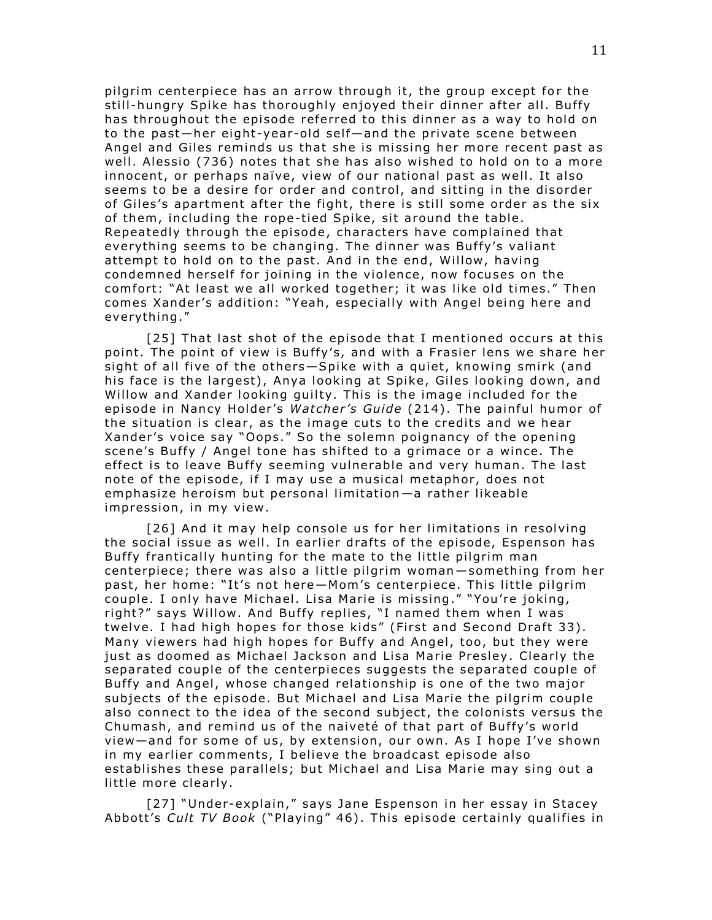pilgrim centerpiece has an arrow through it, the group except for the still-hungry Spike has thoroughly enjoyed their dinner after all. Buffy has throughout the episode referred to this dinner as a way to hold on to the past—her eight-year-old self—and the private scene between Angel and Giles reminds us that she is missing her more recent past as well. Alessio (736) notes that she has also wished to hold on to a more innocent, or perhaps naïve, view of our national past as well. It also seems to be a desire for order and control, and sitting in the disorder of Giles's apartment after the fight, there is still some order as the six of them, including the rope-tied Spike, sit around the table. Repeatedly through the episode, characters have complained that everything seems to be changing. The dinner was Buffy's valiant attempt to hold on to the past. And in the end, Willow, having condemned herself for joining in the violence, now focuses on the comfort: "At least we all worked together; it was like old times." Then comes Xander's addition: "Yeah, especially with Angel being here and everything ."

[25] That last shot of the episode that I mentioned occurs at this point. The point of view is Buffy's, and with a Frasier lens we share her sight of all five of the others—Spike with a quiet, knowing smirk (and his face is the largest), Anya looking at Spike, Giles looking down, and Willow and Xander looking quilty. This is the image included for the episode in Nancy Holder's Watcher's Guide (214). The painful humor of the situation is clear, as the image cuts to the credits and we hear Xander's voice say "Oops." So the solemn poignancy of the opening scene's Buffy / Angel tone has shifted to a grimace or a wince. The effect is to leave Buffy seeming vulnerable and very human. The last note of the episode, if I may use a musical metaphor, does not emphasize heroism but personal limitation—a rather likeable impression, in my view.

[26] And it may help console us for her limitations in resolving the social issue as well. In earlier drafts of the episode, Espenson has Buffy frantically hunting for the mate to the little pilgrim man centerpiece; there was also a little pilgrim woman-something from her past, her home: "It's not here—Mom's centerpiece. This little pilgrim couple. I only have Michael. Lisa Marie is missing." "You're joking, right?" says Willow. And Buffy replies, "I named them when I was twelve. I had high hopes for those kids" (First and Second Draft 33). Many viewers had high hopes for Buffy and Angel, too, but they were just as doomed as Michael Jackson and Lisa Marie Presley. Clearly the separated couple of the centerpieces suggests the separated couple of Buffy and Angel, whose changed relationship is one of the two major subjects of the episode. But Michael and Lisa Marie the pilgrim couple also connect to the idea of the second subject, the colonists versus the Chumash, and remind us of the naiveté of that part of Buffy's world view-and for some of us, by extension, our own. As I hope I've shown in my earlier comments, I believe the broadcast episode also establishes these parallels; but Michael and Lisa Marie may sing out a little more clearly.

[27] "Under-explain," says Jane Espenson in her essay in Stacey Abbott's *Cult TV Book* ("Playing" 46). This episode certainly qualifies in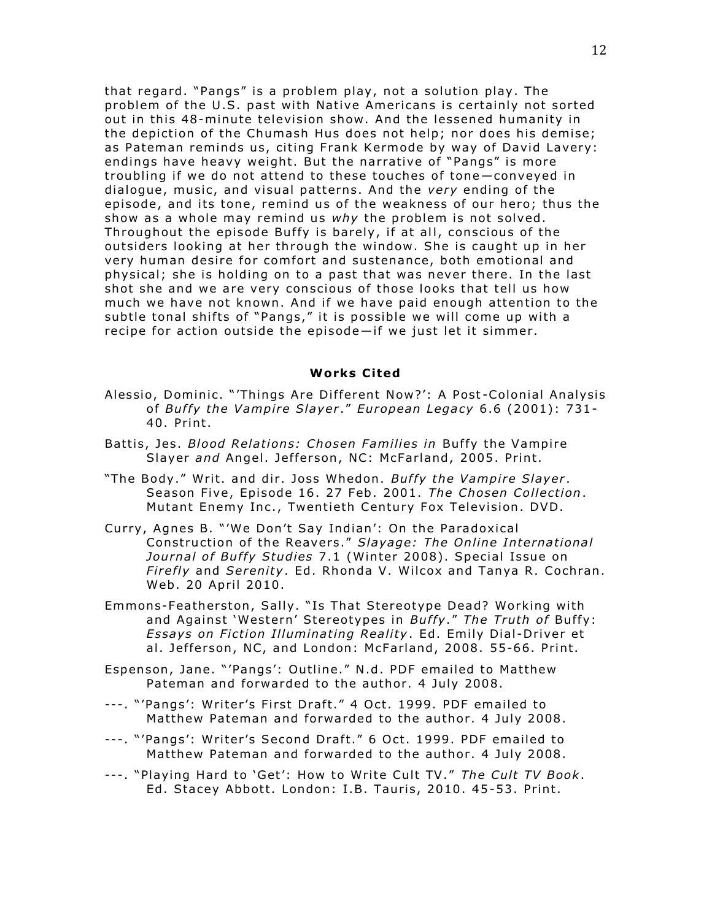that regard. "Pangs" is a problem play, not a solution play. The problem of the U.S. past with Native Americans is certainly not sorted out in this 48-minute television show. And the lessened humanity in the depiction of the Chumash Hus does not help; nor does his demise; as Pateman reminds us, citing Frank Kermode by way of David Lavery: endings have heavy weight. But the narrative of "Pangs" is more troubling if we do not attend to these touches of tone—conveyed in dialogue, music, and visual patterns. And the *very* ending of the episode, and its tone, remind us of the weakness of our hero; thus the show as a whole may remind us why the problem is not solved. Th roughout the episode Buffy is barely, if at all, conscious of the outsiders looking at her through the window. She is caught up in her very human desire for comfort and sustenance, both emotional and physical; she is holding on to a past that was never there. In the last shot she and we are very conscious of those looks that tell us how much we have not known. And if we have paid enough attention to the subtle tonal shifts of "Pangs," it is possible we will come up with a recipe for action outside the episode—if we just let it simmer.

## **Works C ited**

- Alessio, Dominic. "'Things Are Different Now?': A Post-Colonial Analysis of *Buffy the Vampire Slayer*." *European Legacy* 6.6 (2001): 731-40. Print.
- Battis, Jes. *Blood Relations: Chosen Families in* Buffy the Vampire Slayer *and* Angel. Jefferson, NC: McFarland, 2005. Print.
- "The Body." Writ. and dir. Joss Whedon. Buffy the Vampire Slayer. Season Five, Episode 16. 27 Feb. 2001. The Chosen Collection. Mutant Enemy Inc., Twentieth Century Fox Television. DVD.
- Curry, Agnes B. "'We Don't Say Indian': On the Paradoxical Construction of the Reavers." *Slayage: The Online International* Journal of Buffy Studies 7.1 (Winter 2008). Special Issue on *Firefly* and *Serenity*. Ed. Rhonda V. Wilcox and Tanya R. Cochran. Web. 20 April 2010.
- Emmons-Featherston, Sally. "Is That Stereotype Dead? Working with and Against 'Western' Stereotypes in *Buffy*." The Truth of Buffy: *Es say s on Fi ction Illuminating Reali ty*. Ed . Emily Dial -D river et al. Jefferson, NC, and London: McFarland, 2008. 55-66. Print.
- Espenson, Jane. "'Pangs': Outline." N.d. PDF emailed to Matthew Pateman and forwarded to the author. 4 July 2008.
- ---. "'Pangs': Writer's First Draft." 4 Oct. 1999. PDF emailed to Matthew Pateman and forwarded to the author. 4 July 2008.
- ---. "'Pangs': Writer's Second Draft." 6 Oct. 1999. PDF emailed to Matthew Pateman and forwarded to the author. 4 July 2008.
- ---. "Playing Hard to 'Get': How to Write Cult TV." The Cult TV Book. Ed. Stacey Abbott. London: I.B. Tauris, 2010. 45-53. Print.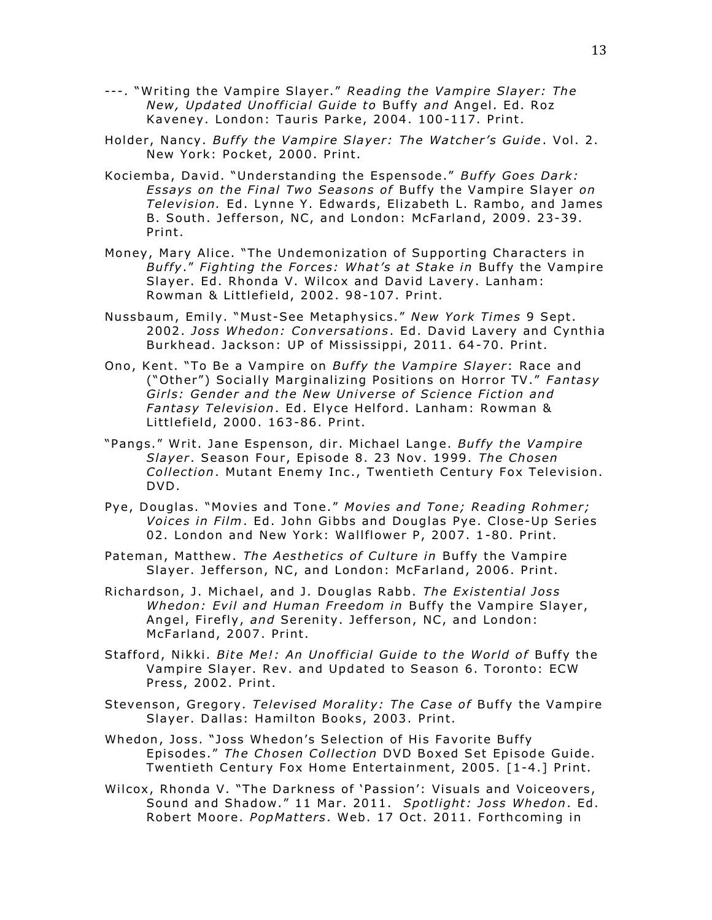- ---. "Writing the Vampire Slayer." *Reading the Vampire Slayer: The New, Updated Unofficial Guide to Buffy and Angel. Ed. Roz* Kaveney. London: Tauris Parke, 2004. 100-117. Print.
- Holder, Nancy. Buffy the Vampire Slayer: The Watcher's Guide. Vol. 2. New York: Pocket, 2000. Print.
- Kociemba, David. "Understanding the Espensode." Buffy Goes Dark: *Essays on the Final Two Seasons of Buffy the Vampire Slayer on Television.* Ed. Lynne Y. Edwards, Elizabeth L. Rambo, and James B. South. Jefferson, NC, and London: McFarland, 2009. 23-39. Print.
- Money, Mary Alice. "The Undemonization of Supporting Characters in *Buffy." Fighting the Forces: What's at Stake in Buffy the Vampire* Slayer. Ed. Rhonda V. Wilcox and David Lavery. Lanham: Rowman & Littlefield, 2002. 98-107. Print.
- Nussbaum, Emily. "Must-See Metaphysics." New York Times 9 Sept. 2002. *Joss Whedon: Conversations*. Ed. David Lavery and Cynthia Burkhead. Jackson: UP of Mississippi, 2011. 64-70. Print.
- Ono, Kent. "To Be a Vampire on *Buffy the Vampire Slayer*: Race and ("Other") Socially Marginalizing Positions on Horror TV." Fantasy Girls: Gender and the New Universe of Science Fiction and Fantasy Television. Ed. Elyce Helford. Lanham: Rowman & Littlefield, 2000. 163-86. Print.
- "Pangs." Writ. Jane Espenson, dir. Michael Lange. Buffy the Vampire Slayer. Season Four, Episode 8. 23 Nov. 1999. The Chosen *Collection*. Mutant Enemy Inc., Twentieth Century Fox Television. DVD .
- Pye, Douglas. "Movies and Tone." Movies and Tone; Reading Rohmer; *Voices in Film.* Ed. John Gibbs and Douglas Pye. Close-Up Series 02. London and New York: Wallflower P, 2007. 1-80. Print.
- Pateman, Matthew. The Aesthetics of Culture in Buffy the Vampire Slayer. Jefferson, NC, and London: McFarland, 2006. Print.
- Richardson, J. Michael, and J. Douglas Rabb. The Existential Joss *Whedon: Evil and Human Freedom in Buffy the Vampire Slayer,* Angel, Firefly, and Serenity. Jefferson, NC, and London: McFarland, 2007. Print.
- Stafford, Nikki. *Bite Me!: An Unofficial Guide to the World of Buffy the* Vampire Slayer. Rev. and Updated to Season 6. Toronto: ECW Press, 2002. Print.
- Stevenson, Gregory. *Televised Morality: The Case of* Buffy the Vampire Slayer. Dallas: Hamilton Books, 2003. Print.
- Whedon, Joss. "Joss Whedon's Selection of His Favorite Buffy Episodes." The Chosen Collection DVD Boxed Set Episode Guide. Twentieth Century Fox Home Entertainment, 2005. [1-4.] Print.
- Wilcox, Rhonda V. "The Darkness of 'Passion': Visuals and Voiceovers, Sound and Shadow." 11 Mar. 2011. Spotlight: Joss Whedon. Ed. Robert Moore. PopMatters. Web. 17 Oct. 2011. Forthcoming in